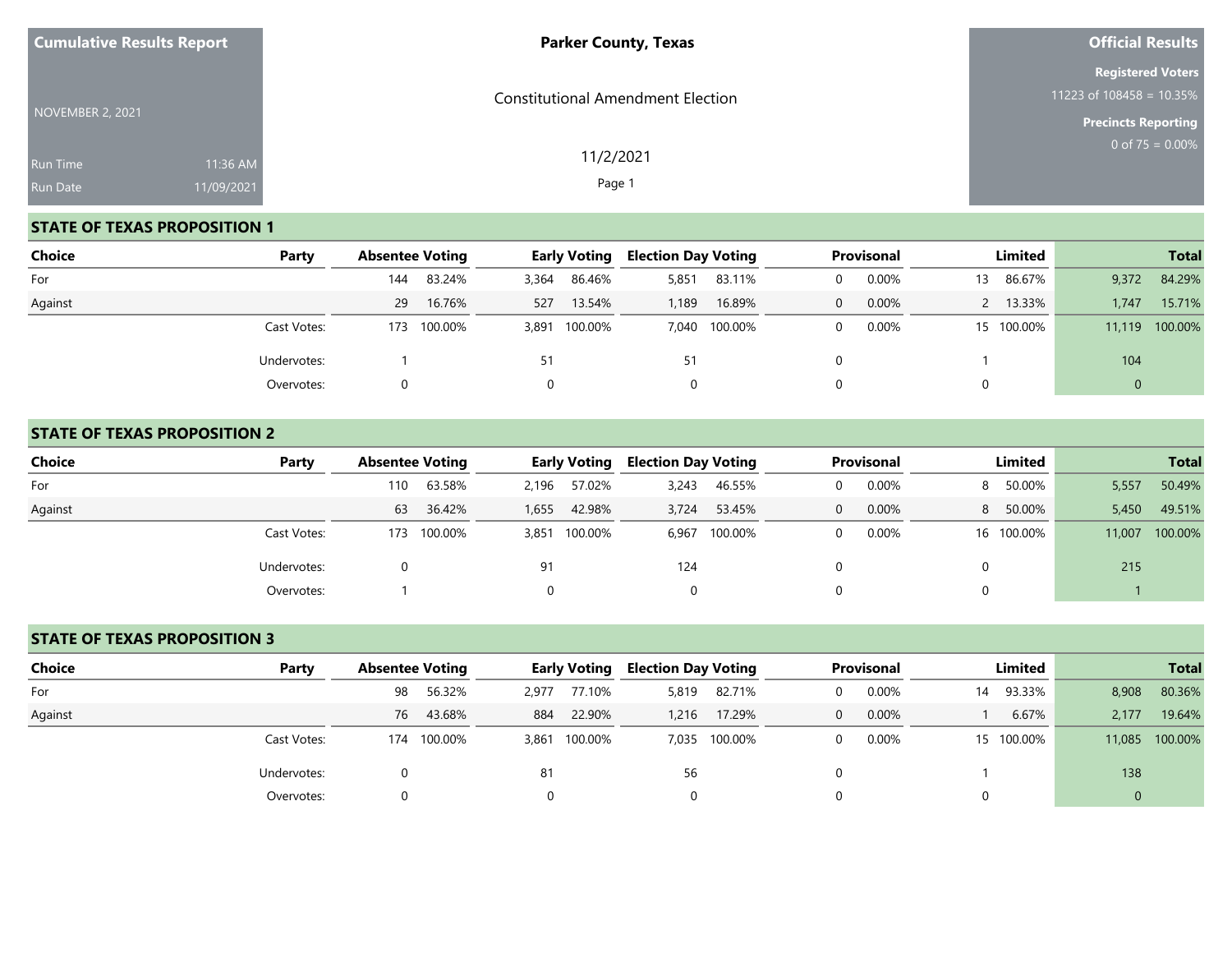| <b>Cumulative Results Report</b>   |                        | <b>Parker County, Texas</b>              | <b>Official Results</b>                                                               |
|------------------------------------|------------------------|------------------------------------------|---------------------------------------------------------------------------------------|
| NOVEMBER 2, 2021                   |                        | <b>Constitutional Amendment Election</b> | <b>Registered Voters</b><br>11223 of $108458 = 10.35\%$<br><b>Precincts Reporting</b> |
| <b>Run Time</b><br><b>Run Date</b> | 11:36 AM<br>11/09/2021 | 11/2/2021<br>Page 1                      | 0 of $75 = 0.00\%$                                                                    |

### **STATE OF TEXAS PROPOSITION 1**

| Choice  | Party       | <b>Absentee Voting</b> |         |       | <b>Early Voting</b> | <b>Election Day Voting</b> |               |   | Provisonal |    | Limited    |             | <b>Total</b>   |
|---------|-------------|------------------------|---------|-------|---------------------|----------------------------|---------------|---|------------|----|------------|-------------|----------------|
| For     |             | 144                    | 83.24%  | 3,364 | 86.46%              | 5,851                      | 83.11%        |   | 0.00%      | 13 | 86.67%     | 9,372       | 84.29%         |
| Against |             | 29                     | 16.76%  | 527   | 13.54%              | .189                       | 16.89%        | 0 | 0.00%      |    | 2 13.33%   | 1.747       | 15.71%         |
|         | Cast Votes: | 173                    | 100.00% |       | 3,891 100.00%       |                            | 7,040 100.00% |   | 0.00%      |    | 15 100.00% |             | 11,119 100.00% |
|         | Undervotes: |                        |         | 51    |                     | 51                         |               |   |            |    |            | 104         |                |
|         | Overvotes:  |                        |         |       |                     | 0                          |               |   |            | 0  |            | $\mathbf 0$ |                |

### **STATE OF TEXAS PROPOSITION 2**

| <b>Choice</b> | Party       | <b>Absentee Voting</b> |         |       | <b>Early Voting</b> | <b>Election Day Voting</b> |               |          | <b>Provisonal</b> |   | Limited    |        | <b>Total</b> |
|---------------|-------------|------------------------|---------|-------|---------------------|----------------------------|---------------|----------|-------------------|---|------------|--------|--------------|
| For           |             | 110                    | 63.58%  | 2,196 | 57.02%              | 3,243                      | 46.55%        |          | 0.00%             | 8 | 50.00%     | 5,557  | 50.49%       |
| Against       |             | 63                     | 36.42%  | 1,655 | 42.98%              | 3.724                      | 53.45%        | $\Omega$ | 0.00%             |   | 8 50.00%   | 5,450  | 49.51%       |
|               | Cast Votes: | 173                    | 100.00% | 3,851 | 100.00%             |                            | 6,967 100.00% |          | 0.00%             |   | 16 100.00% | 11,007 | 100.00%      |
|               | Undervotes: |                        |         | 91    |                     | 124                        |               |          |                   | 0 |            | 215    |              |
|               | Overvotes:  |                        |         |       |                     | 0                          |               |          |                   | 0 |            |        |              |

### **STATE OF TEXAS PROPOSITION 3**

| Choice  | Party       | <b>Absentee Voting</b> |         |       | <b>Early Voting</b> | <b>Election Day Voting</b> |               | Provisonal |    | Limited    |             | <b>Total</b>   |
|---------|-------------|------------------------|---------|-------|---------------------|----------------------------|---------------|------------|----|------------|-------------|----------------|
| For     |             | 98                     | 56.32%  | 2,977 | 77.10%              | 5,819                      | 82.71%        | 0.00%      | 14 | 93.33%     | 8,908       | 80.36%         |
| Against |             | 76                     | 43.68%  | 884   | 22.90%              | 1,216                      | 17.29%        | 0.00%      |    | 6.67%      | 2,177       | 19.64%         |
|         | Cast Votes: | 174                    | 100.00% |       | 3,861 100.00%       |                            | 7,035 100.00% | 0.00%      |    | 15 100.00% |             | 11,085 100.00% |
|         | Undervotes: |                        |         | 81    |                     | 56                         |               |            |    |            | 138         |                |
|         | Overvotes:  | 0.                     |         |       |                     |                            |               |            |    |            | $\mathbf 0$ |                |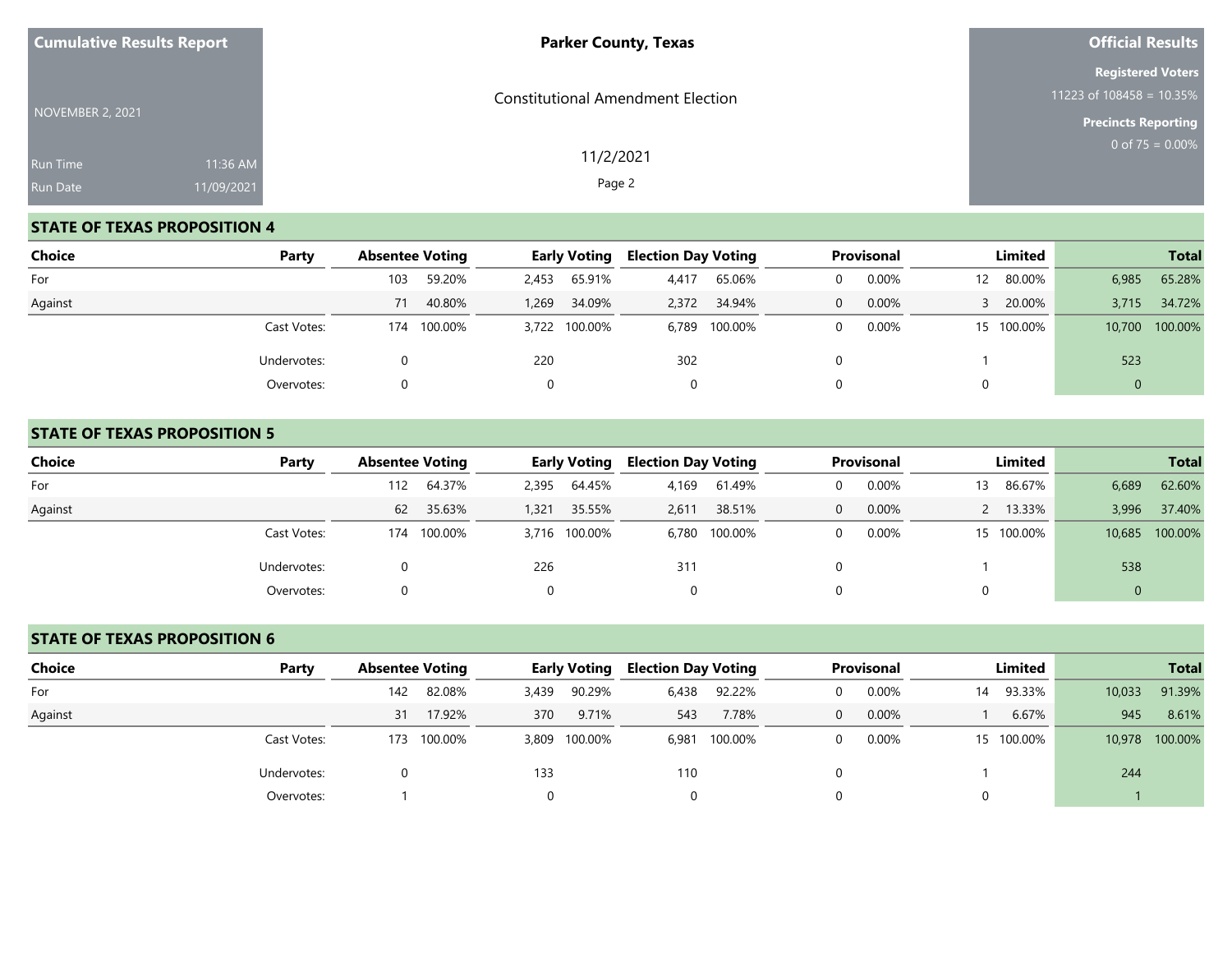| <b>Cumulative Results Report</b> |                        | <b>Parker County, Texas</b>              | <b>Official Results</b>                                                               |
|----------------------------------|------------------------|------------------------------------------|---------------------------------------------------------------------------------------|
| NOVEMBER 2, 2021                 |                        | <b>Constitutional Amendment Election</b> | <b>Registered Voters</b><br>11223 of $108458 = 10.35\%$<br><b>Precincts Reporting</b> |
| Run Time<br><b>Run Date</b>      | 11:36 AM<br>11/09/2021 | 11/2/2021<br>Page 2                      | 0 of $75 = 0.00\%$                                                                    |

### **STATE OF TEXAS PROPOSITION 4**

| Choice  | Party       | <b>Absentee Voting</b> |             |       | <b>Early Voting</b> | <b>Election Day Voting</b> |               |          | Provisonal |     | Limited    |        | <b>Total</b> |
|---------|-------------|------------------------|-------------|-------|---------------------|----------------------------|---------------|----------|------------|-----|------------|--------|--------------|
| For     |             | 103                    | 59.20%      | 2,453 | 65.91%              | 4,417                      | 65.06%        |          | 0.00%      | 12. | 80.00%     | 6,985  | 65.28%       |
| Against |             | 71                     | 40.80%      | 1,269 | 34.09%              | 2,372                      | 34.94%        | $\Omega$ | 0.00%      |     | 3 20.00%   | 3,715  | 34.72%       |
|         | Cast Votes: |                        | 174 100.00% |       | 3,722 100.00%       |                            | 6,789 100.00% |          | 0.00%      |     | 15 100.00% | 10,700 | 100.00%      |
|         | Undervotes: |                        |             | 220   |                     | 302                        |               |          |            |     |            | 523    |              |
|         | Overvotes:  |                        |             |       |                     | 0                          |               |          |            | 0   |            |        |              |

### **STATE OF TEXAS PROPOSITION 5**

| <b>Choice</b> | Party       | <b>Absentee Voting</b> |         |       | <b>Early Voting</b> | <b>Election Day Voting</b> |               |   | <b>Provisonal</b> |    | Limited    |        | <b>Total</b> |
|---------------|-------------|------------------------|---------|-------|---------------------|----------------------------|---------------|---|-------------------|----|------------|--------|--------------|
| For           |             | 112                    | 64.37%  | 2,395 | 64.45%              | 4,169                      | 61.49%        |   | 0.00%             | 13 | 86.67%     | 6,689  | 62.60%       |
| Against       |             | 62                     | 35.63%  | 1,321 | 35.55%              | 2.611                      | 38.51%        | 0 | 0.00%             |    | 2 13.33%   | 3,996  | 37.40%       |
|               | Cast Votes: | 174                    | 100.00% |       | 3,716 100.00%       |                            | 6,780 100.00% |   | 0.00%             |    | 15 100.00% | 10,685 | 100.00%      |
|               | Undervotes: |                        |         | 226   |                     | 311                        |               |   |                   |    |            | 538    |              |
|               | Overvotes:  |                        |         |       |                     |                            |               |   |                   | 0  |            | 0      |              |

### **STATE OF TEXAS PROPOSITION 6**

| <b>Choice</b> | Party       | <b>Absentee Voting</b> |         |       | <b>Early Voting</b> | <b>Election Day Voting</b> |               |          | Provisonal |    | Limited    |        | <b>Total</b>   |
|---------------|-------------|------------------------|---------|-------|---------------------|----------------------------|---------------|----------|------------|----|------------|--------|----------------|
| For           |             | 142                    | 82.08%  | 3,439 | 90.29%              | 6,438                      | 92.22%        | $\Omega$ | 0.00%      | 14 | 93.33%     | 10,033 | 91.39%         |
| Against       |             | 31                     | 17.92%  | 370   | 9.71%               | 543                        | 7.78%         | $\Omega$ | 0.00%      |    | 6.67%      | 945    | 8.61%          |
|               | Cast Votes: | 173                    | 100.00% |       | 3,809 100.00%       |                            | 6,981 100.00% | $\Omega$ | 0.00%      |    | 15 100.00% |        | 10,978 100.00% |
|               | Undervotes: |                        |         | 133   |                     | 110                        |               |          |            |    |            | 244    |                |
|               | Overvotes:  |                        |         |       |                     |                            |               |          |            |    |            |        |                |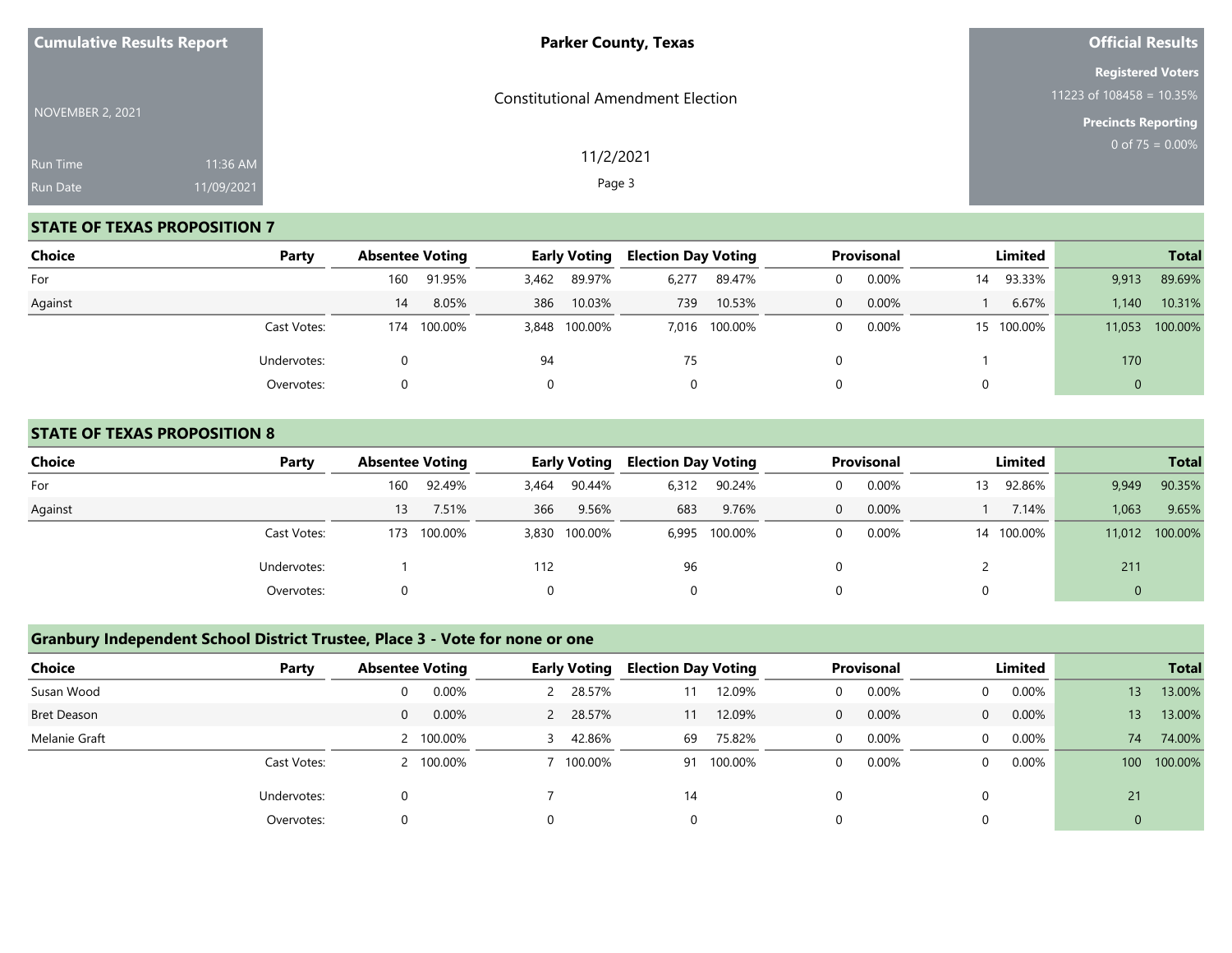| <b>Cumulative Results Report</b>   |                        | <b>Parker County, Texas</b>              | <b>Official Results</b>                                                               |
|------------------------------------|------------------------|------------------------------------------|---------------------------------------------------------------------------------------|
| NOVEMBER 2, 2021                   |                        | <b>Constitutional Amendment Election</b> | <b>Registered Voters</b><br>11223 of $108458 = 10.35\%$<br><b>Precincts Reporting</b> |
| <b>Run Time</b><br><b>Run Date</b> | 11:36 AM<br>11/09/2021 | 11/2/2021<br>Page 3                      | 0 of $75 = 0.00\%$                                                                    |

## **STATE OF TEXAS PROPOSITION 7**

| <b>Choice</b> | Party       | <b>Absentee Voting</b> |         |       | <b>Early Voting</b> | <b>Election Day Voting</b> |               |              | Provisonal |    | Limited    |              | <b>Total</b>   |
|---------------|-------------|------------------------|---------|-------|---------------------|----------------------------|---------------|--------------|------------|----|------------|--------------|----------------|
| For           |             | 160                    | 91.95%  | 3,462 | 89.97%              | 6,277                      | 89.47%        | $\Omega$     | 0.00%      | 14 | 93.33%     | 9,913        | 89.69%         |
| Against       |             | 14                     | 8.05%   | 386   | 10.03%              | 739                        | 10.53%        | $\mathbf{0}$ | 0.00%      |    | 6.67%      | 1,140        | 10.31%         |
|               | Cast Votes: | 174                    | 100.00% |       | 3,848 100.00%       |                            | 7,016 100.00% | $\Omega$     | 0.00%      |    | 15 100.00% |              | 11,053 100.00% |
|               | Undervotes: |                        |         | 94    |                     | 75                         |               |              |            |    |            | 170          |                |
|               | Overvotes:  |                        |         |       |                     | 0                          |               |              |            |    |            | $\mathbf{0}$ |                |

### **STATE OF TEXAS PROPOSITION 8**

| Choice<br>Party | <b>Absentee Voting</b> |         |          | <b>Early Voting</b> | <b>Election Day Voting</b> |               |   | Provisonal |    | Limited    |       | <b>Total</b>   |
|-----------------|------------------------|---------|----------|---------------------|----------------------------|---------------|---|------------|----|------------|-------|----------------|
| For             | 160                    | 92.49%  | 3,464    | 90.44%              | 6,312                      | 90.24%        | 0 | 0.00%      | 13 | 92.86%     | 9,949 | 90.35%         |
| Against         | 13                     | 7.51%   | 366      | 9.56%               | 683                        | 9.76%         | 0 | 0.00%      |    | 7.14%      | 1,063 | 9.65%          |
| Cast Votes:     | 173                    | 100.00% |          | 3,830 100.00%       |                            | 6,995 100.00% | 0 | 0.00%      |    | 14 100.00% |       | 11,012 100.00% |
| Undervotes:     |                        |         | 112      |                     | 96                         |               |   |            |    |            | 211   |                |
| Overvotes:      |                        |         | $\Omega$ |                     | 0                          |               |   |            |    |            | 0     |                |

# **Granbury Independent School District Trustee, Place 3 - Vote for none or one**

| <b>Choice</b> | Party       | <b>Absentee Voting</b> | <b>Early Voting</b> | <b>Election Day Voting</b> | Provisonal            | Limited                 | <b>Total</b>                |
|---------------|-------------|------------------------|---------------------|----------------------------|-----------------------|-------------------------|-----------------------------|
| Susan Wood    |             | 0.00%                  | 28.57%              | 12.09%                     | 0.00%<br>$\mathbf 0$  | $0.00\%$<br>$\Omega$    | 13.00%<br>13                |
| Bret Deason   |             | 0.00%<br>0             | 28.57%<br>2         | 12.09%<br>11               | 0.00%<br>$\mathbf{0}$ | 0.00%<br>$\overline{0}$ | 13.00%<br>13                |
| Melanie Graft |             | 2 100.00%              | 42.86%              | 75.82%<br>69               | 0.00%<br>$\mathbf 0$  | 0.00%<br>$\overline{0}$ | 74.00%<br>74                |
|               | Cast Votes: | 2 100.00%              | $100.00\%$          | 100.00%<br>91              | 0.00%<br>$\mathbf 0$  | 0.00%<br>$\Omega$       | 100.00%<br>100 <sup>°</sup> |
|               | Undervotes: |                        |                     | 14                         | $\Omega$              |                         | 21                          |
|               | Overvotes:  |                        |                     | 0                          | 0                     |                         |                             |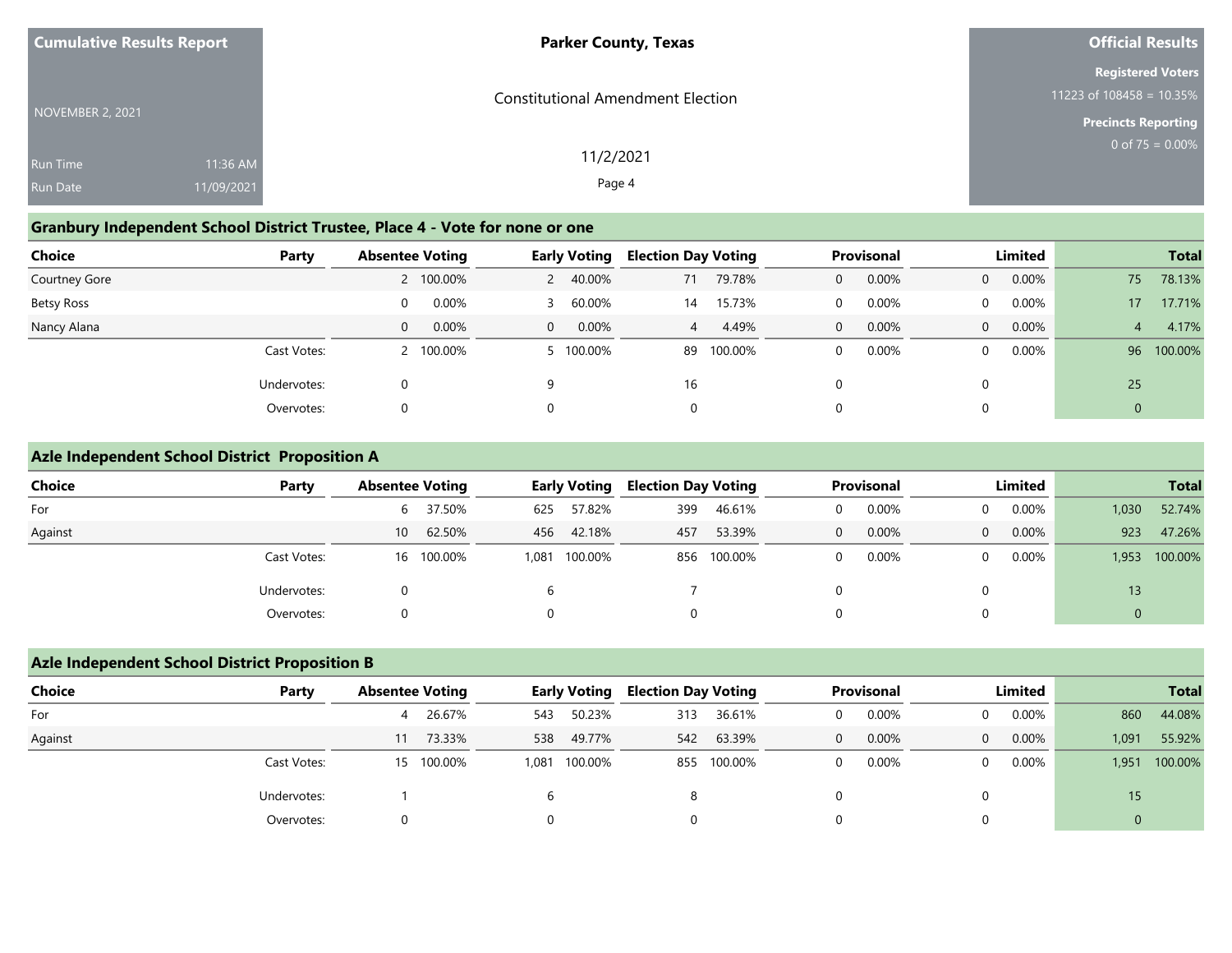| <b>Cumulative Results Report</b>   |                        | <b>Parker County, Texas</b>              | <b>Official Results</b>                              |
|------------------------------------|------------------------|------------------------------------------|------------------------------------------------------|
| NOVEMBER 2, 2021                   |                        | <b>Constitutional Amendment Election</b> | <b>Registered Voters</b><br>11223 of 108458 = 10.35% |
|                                    |                        |                                          | <b>Precincts Reporting</b>                           |
| <b>Run Time</b><br><b>Run Date</b> | 11:36 AM<br>11/09/2021 | 11/2/2021<br>Page 4                      | 0 of $75 = 0.00\%$                                   |
|                                    |                        |                                          |                                                      |

## **Granbury Independent School District Trustee, Place 4 - Vote for none or one**

| Choice               | Party       | <b>Absentee Voting</b> |           |                | <b>Early Voting</b> | <b>Election Day Voting</b> |         |   | Provisonal |                | Limited |                 | <b>Total</b> |
|----------------------|-------------|------------------------|-----------|----------------|---------------------|----------------------------|---------|---|------------|----------------|---------|-----------------|--------------|
| <b>Courtney Gore</b> |             |                        | 2 100.00% | $\mathsf{2}$   | 40.00%              | 71                         | 79.78%  | 0 | 0.00%      | $\overline{0}$ | 0.00%   | 75              | 78.13%       |
| Betsy Ross           |             | $\Omega$               | 0.00%     | ₹              | 60.00%              | 14                         | 15.73%  |   | 0.00%      | $\Omega$       | 0.00%   | 17 <sup>°</sup> | 17.71%       |
| Nancy Alana          |             | 0                      | 0.00%     | $\overline{0}$ | $0.00\%$            | 4                          | 4.49%   | 0 | 0.00%      | $\Omega$       | 0.00%   | 4               | 4.17%        |
|                      | Cast Votes: |                        | 2 100.00% |                | 5 100.00%           | 89                         | 100.00% |   | 0.00%      | $\Omega$       | 0.00%   | 96              | 100.00%      |
|                      | Undervotes: |                        |           | 9              |                     | 16                         |         | 0 |            |                |         | 25              |              |
|                      | Overvotes:  |                        |           | $\Omega$       |                     | 0                          |         | 0 |            |                |         | 0               |              |

# **Azle Independent School District Proposition A**

| <b>Choice</b> | Party       | <b>Absentee Voting</b> |            | <b>Early Voting</b> |            | <b>Election Day Voting</b> |             |          | Provisonal | Limited  |       |          | <b>Total</b> |
|---------------|-------------|------------------------|------------|---------------------|------------|----------------------------|-------------|----------|------------|----------|-------|----------|--------------|
| For           |             |                        | 6 37.50%   | 625                 | 57.82%     | 399                        | 46.61%      | 0        | 0.00%      | 0        | 0.00% | 1,030    | 52.74%       |
| Against       |             | 10 <sup>1</sup>        | 62.50%     |                     | 456 42.18% | 457                        | 53.39%      | $\Omega$ | 0.00%      | $\Omega$ | 0.00% | 923      | 47.26%       |
|               | Cast Votes: |                        | 16 100.00% | 1,081               | 100.00%    |                            | 856 100.00% | ∩        | 0.00%      | 0        | 0.00% | 1.953    | 100.00%      |
|               | Undervotes: | 0                      |            |                     |            |                            |             |          |            |          |       | 13       |              |
|               | Overvotes:  | 0                      |            |                     |            |                            |             |          |            |          |       | $\Omega$ |              |

## **Azle Independent School District Proposition B**

| <b>Choice</b> | Party       | <b>Absentee Voting</b> |            |     | <b>Early Voting</b> | <b>Election Day Voting</b> |         | Provisonal |       |                | Limited  | <b>Total</b> |         |             |  |
|---------------|-------------|------------------------|------------|-----|---------------------|----------------------------|---------|------------|-------|----------------|----------|--------------|---------|-------------|--|
| For           |             |                        | 4 26.67%   | 543 | 50.23%              | 313                        | 36.61%  | $\Omega$   | 0.00% | $\Omega$       | $0.00\%$ | 860          | 44.08%  |             |  |
| Against       |             | 11                     | 73.33%     | 538 | 49.77%              | 542                        | 63.39%  | $\Omega$   | 0.00% | $\overline{0}$ | $0.00\%$ | 1,091        | 55.92%  |             |  |
|               | Cast Votes: |                        | 15 100.00% |     | 1,081 100.00%       | 855                        | 100.00% |            | 0.00% | $\Omega$       | $0.00\%$ | 1,951        | 100.00% |             |  |
|               | Undervotes: |                        |            |     |                     | 8                          |         |            |       |                |          | 15           |         |             |  |
|               | Overvotes:  |                        |            |     |                     | 0                          |         |            |       |                |          |              |         | $\mathbf 0$ |  |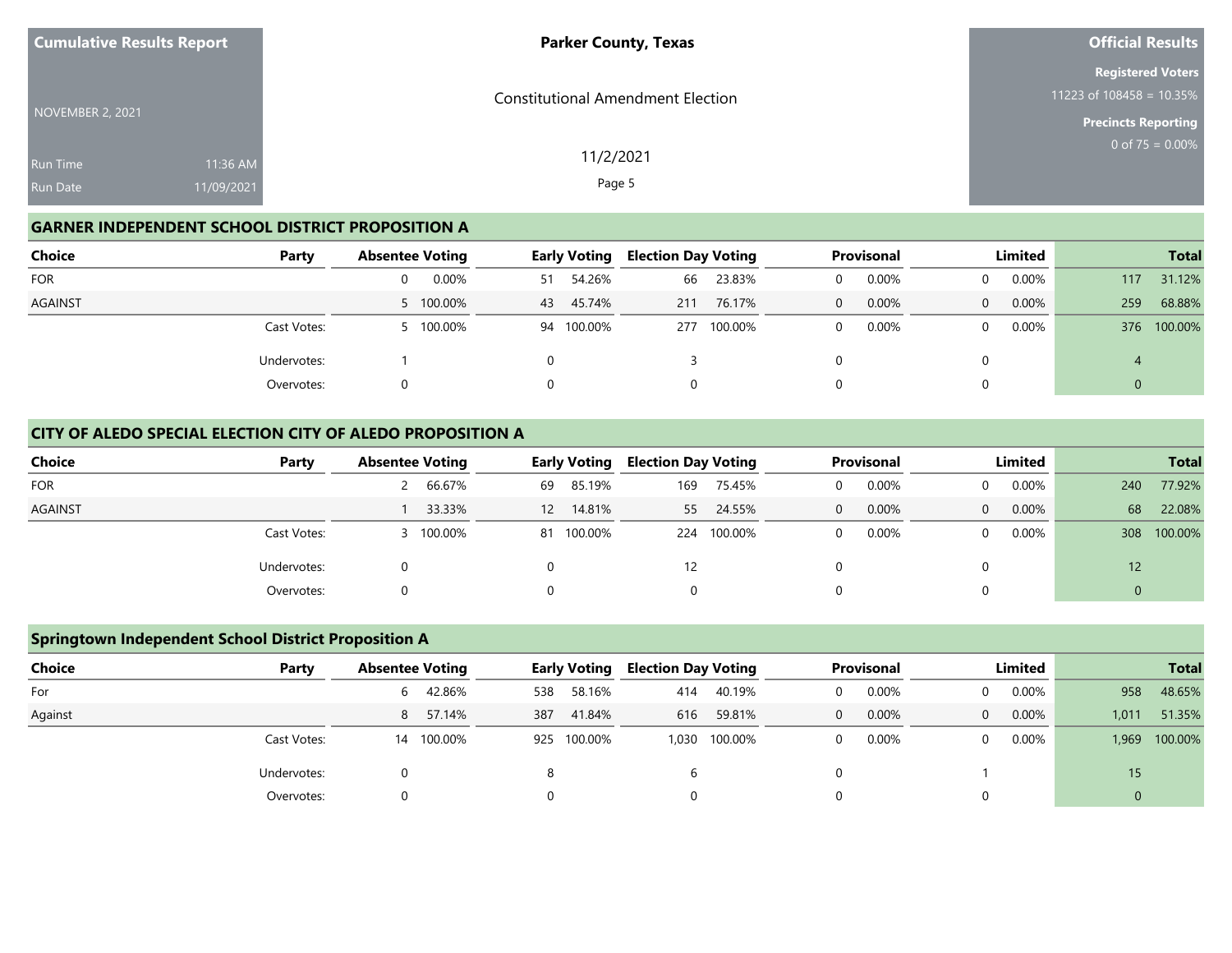| <b>Cumulative Results Report</b>   |                        | <b>Parker County, Texas</b>              | Official Results                                                                   |
|------------------------------------|------------------------|------------------------------------------|------------------------------------------------------------------------------------|
| NOVEMBER 2, 2021                   |                        | <b>Constitutional Amendment Election</b> | <b>Registered Voters</b><br>11223 of 108458 = 10.35%<br><b>Precincts Reporting</b> |
| <b>Run Time</b><br><b>Run Date</b> | 11:36 AM<br>11/09/2021 | 11/2/2021<br>Page 5                      | 0 of $75 = 0.00\%$                                                                 |

## **GARNER INDEPENDENT SCHOOL DISTRICT PROPOSITION A**

| <b>Choice</b>  | Party       | <b>Absentee Voting</b> | <b>Early Voting</b> | <b>Election Day Voting</b> | Provisonal        | Limited              | <b>Total</b>   |
|----------------|-------------|------------------------|---------------------|----------------------------|-------------------|----------------------|----------------|
| <b>FOR</b>     |             | 0.00%<br>0             | 54.26%<br>51        | 23.83%<br>66               | 0.00%<br>0        | $0.00\%$<br>0        | 31.12%<br>117  |
| <b>AGAINST</b> |             | 5 100.00%              | 45.74%<br>43        | 76.17%<br>211              | 0.00%<br>$\Omega$ | $0.00\%$<br>$\Omega$ | 68.88%<br>259  |
|                | Cast Votes: | 100.00%                | 94 100.00%          | 100.00%<br>277             | 0.00%<br>$\Omega$ | $0.00\%$<br>0        | 100.00%<br>376 |
|                | Undervotes: |                        |                     |                            |                   |                      |                |
|                | Overvotes:  | 0                      |                     | 0                          | 0                 |                      |                |

### **CITY OF ALEDO SPECIAL ELECTION CITY OF ALEDO PROPOSITION A**

| <b>Choice</b>  | Party       |  | <b>Absentee Voting</b> |                 | <b>Early Voting</b> |     | <b>Election Day Voting</b> |   | Provisonal | Limited  |          |     | <b>Total</b> |
|----------------|-------------|--|------------------------|-----------------|---------------------|-----|----------------------------|---|------------|----------|----------|-----|--------------|
| <b>FOR</b>     |             |  | 2 66.67%               | 69              | 85.19%              | 169 | 75.45%                     |   | 0.00%      | $\Omega$ | 0.00%    | 240 | 77.92%       |
| <b>AGAINST</b> |             |  | 33.33%                 | 12 <sup>2</sup> | 14.81%              | 55  | 24.55%                     | 0 | 0.00%      | $\Omega$ | 0.00%    | 68  | 22.08%       |
|                | Cast Votes: |  | 3 100.00%              |                 | 81 100.00%          |     | 224 100.00%                |   | 0.00%      | $\Omega$ | $0.00\%$ | 308 | 100.00%      |
|                | Undervotes: |  |                        |                 |                     | 12  |                            |   |            | 0        |          | 12  |              |
|                | Overvotes:  |  |                        |                 |                     | 0   |                            |   |            | 0        |          | 0   |              |

## **Springtown Independent School District Proposition A**

| <b>Choice</b> | Party       | <b>Absentee Voting</b> |          |     | <b>Early Voting</b> |     | <b>Election Day Voting</b> |          | Provisonal | Limited  |       |                | <b>Total</b>  |
|---------------|-------------|------------------------|----------|-----|---------------------|-----|----------------------------|----------|------------|----------|-------|----------------|---------------|
| For           |             | h.                     | 42.86%   | 538 | 58.16%              | 414 | 40.19%                     |          | 0.00%      | $\Omega$ | 0.00% | 958            | 48.65%        |
| Against       |             |                        | 8 57.14% | 387 | 41.84%              | 616 | 59.81%                     | $\Omega$ | 0.00%      | $\Omega$ | 0.00% | 1,011          | 51.35%        |
|               | Cast Votes: | 14                     | 100.00%  |     | 925 100.00%         |     | 1,030 100.00%              |          | 0.00%      | $\Omega$ | 0.00% |                | 1,969 100.00% |
|               | Undervotes: |                        |          |     |                     |     |                            |          |            |          |       | 15             |               |
|               | Overvotes:  |                        |          | 0   |                     |     |                            |          |            |          |       | $\overline{0}$ |               |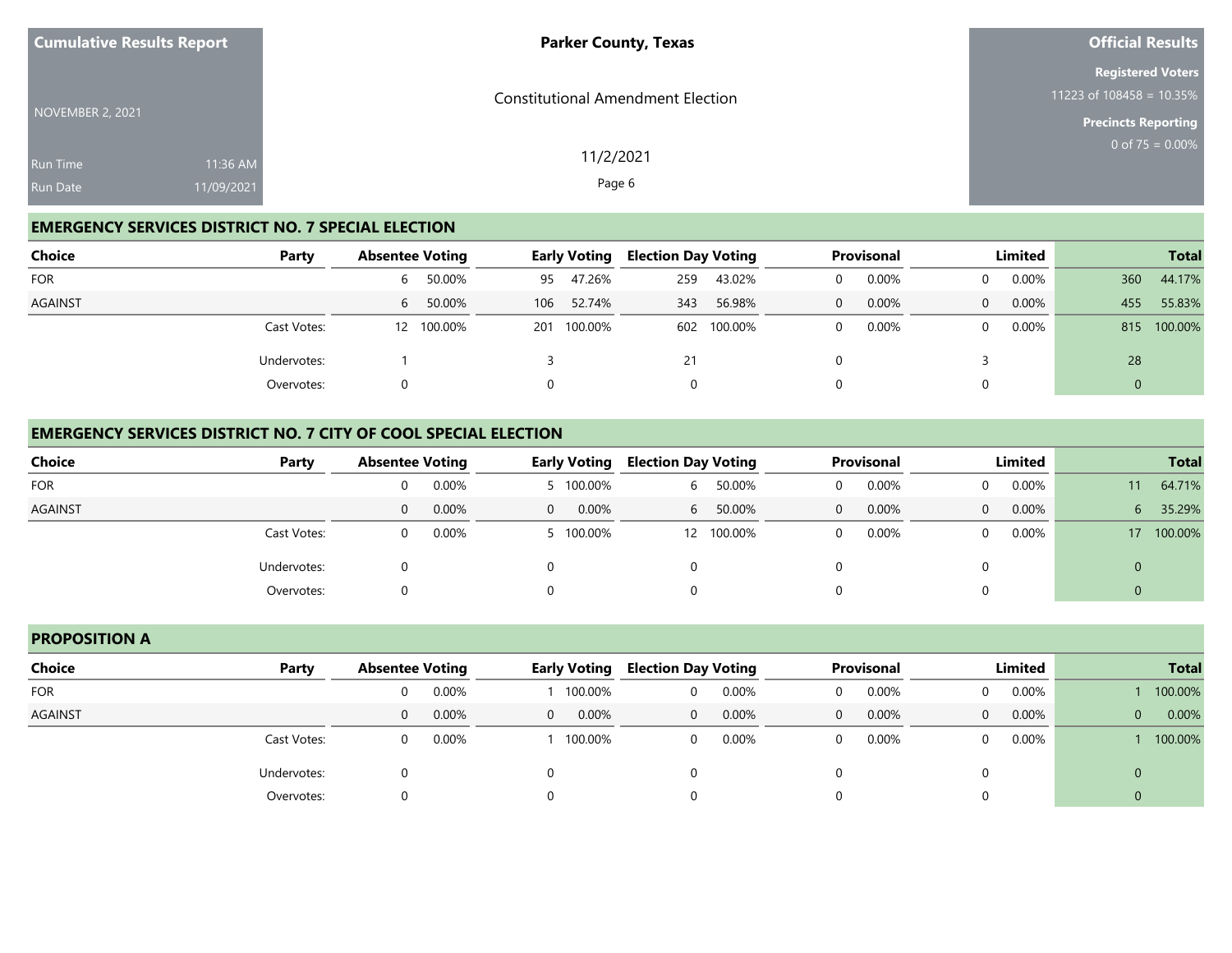| <b>Cumulative Results Report</b> |                        | <b>Parker County, Texas</b>              | <b>Official Results</b>                                                               |
|----------------------------------|------------------------|------------------------------------------|---------------------------------------------------------------------------------------|
| NOVEMBER 2, 2021                 |                        | <b>Constitutional Amendment Election</b> | <b>Registered Voters</b><br>11223 of $108458 = 10.35\%$<br><b>Precincts Reporting</b> |
| Run Time<br><b>Run Date</b>      | 11:36 AM<br>11/09/2021 | 11/2/2021<br>Page 6                      | 0 of $75 = 0.00\%$                                                                    |

## **EMERGENCY SERVICES DISTRICT NO. 7 SPECIAL ELECTION**

| <b>Choice</b> | Party       |              | <b>Absentee Voting</b> |     | <b>Early Voting</b> |     | <b>Election Day Voting</b> | <b>Provisonal</b> |       | Limited  |          |     | <b>Total</b> |
|---------------|-------------|--------------|------------------------|-----|---------------------|-----|----------------------------|-------------------|-------|----------|----------|-----|--------------|
| <b>FOR</b>    |             | <sub>6</sub> | 50.00%                 | 95  | 47.26%              | 259 | 43.02%                     |                   | 0.00% | 0        | $0.00\%$ | 360 | 44.17%       |
| AGAINST       |             | h            | 50.00%                 | 106 | 52.74%              | 343 | 56.98%                     | $\Omega$          | 0.00% | $\Omega$ | $0.00\%$ | 455 | 55.83%       |
|               | Cast Votes: |              | 12 100.00%             | 201 | 100.00%             | 602 | 100.00%                    | 0                 | 0.00% | 0        | $0.00\%$ | 815 | 100.00%      |
|               | Undervotes: |              |                        |     |                     | 21  |                            |                   |       |          |          | 28  |              |
|               | Overvotes:  |              |                        |     |                     |     |                            |                   |       |          |          | 0   |              |

### **EMERGENCY SERVICES DISTRICT NO. 7 CITY OF COOL SPECIAL ELECTION**

| <b>Choice</b><br>Party |   | <b>Absentee Voting</b> |                | <b>Early Voting</b> |   | <b>Election Day Voting</b> | Provisonal |       | <b>Limited</b> |          |                 | <b>Total</b> |
|------------------------|---|------------------------|----------------|---------------------|---|----------------------------|------------|-------|----------------|----------|-----------------|--------------|
| <b>FOR</b>             | 0 | 0.00%                  |                | 5 100.00%           | 6 | 50.00%                     |            | 0.00% | $\Omega$       | $0.00\%$ | $11^{\circ}$    | 64.71%       |
| <b>AGAINST</b>         | 0 | 0.00%                  | $\overline{0}$ | 0.00%               | 6 | 50.00%                     | 0          | 0.00% | $\Omega$       | $0.00\%$ | 6               | 35.29%       |
| Cast Votes:            |   | 0.00%                  |                | 5 100.00%           |   | 12 100.00%                 |            | 0.00% | $\Omega$       | $0.00\%$ | 17 <sup>°</sup> | 100.00%      |
| Undervotes:            |   |                        |                |                     | 0 |                            |            |       | 0              |          | 0               |              |
| Overvotes:             |   |                        |                |                     | 0 |                            |            |       | 0              |          | ν               |              |

### **PROPOSITION A**

| Choice<br>Party | <b>Absentee Voting</b> |       | <b>Early Voting</b> |         | <b>Election Day Voting</b> |       |          | Provisonal |                | Limited  | <b>Total</b> |         |
|-----------------|------------------------|-------|---------------------|---------|----------------------------|-------|----------|------------|----------------|----------|--------------|---------|
| <b>FOR</b>      | 0                      | 0.00% |                     | 100.00% | 0                          | 0.00% | 0        | 0.00%      | $\mathbf{0}$   | $0.00\%$ |              | 100.00% |
| <b>AGAINST</b>  | 0                      | 0.00% | $\Omega$            | 0.00%   | $\Omega$                   | 0.00% | $\Omega$ | 0.00%      | $\overline{0}$ | 0.00%    | $\mathbf{0}$ | 0.00%   |
| Cast Votes:     | 0                      | 0.00% |                     | 100.00% | $\overline{0}$             | 0.00% | 0        | 0.00%      | $\Omega$       | 0.00%    |              | 100.00% |
| Undervotes:     |                        |       |                     |         | 0                          |       |          |            | 0              |          | $\mathbf 0$  |         |
| Overvotes:      |                        |       | 0                   |         | 0                          |       |          |            | 0              |          |              |         |